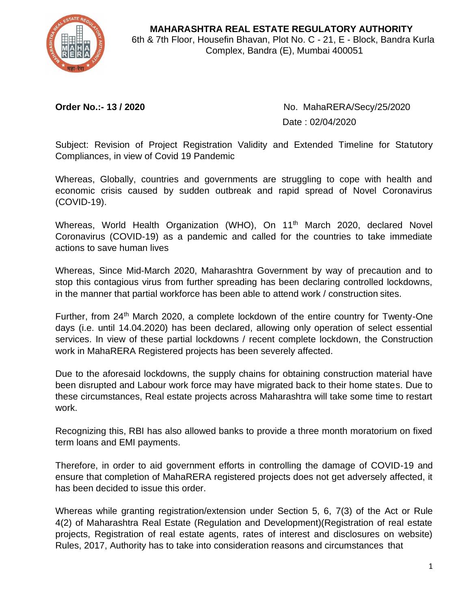

**MAHARASHTRA REAL ESTATE REGULATORY AUTHORITY** 6th & 7th Floor, Housefin Bhavan, Plot No. C - 21, E - Block, Bandra Kurla Complex, Bandra (E), Mumbai 400051

**Order No.:- 13 / 2020** No. MahaRERA/Secy/25/2020 Date : 02/04/2020

Subject: Revision of Project Registration Validity and Extended Timeline for Statutory Compliances, in view of Covid 19 Pandemic

Whereas, Globally, countries and governments are struggling to cope with health and economic crisis caused by sudden outbreak and rapid spread of Novel Coronavirus (COVID-19).

Whereas, World Health Organization (WHO), On 11<sup>th</sup> March 2020, declared Novel Coronavirus (COVID-19) as a pandemic and called for the countries to take immediate actions to save human lives

Whereas, Since Mid-March 2020, Maharashtra Government by way of precaution and to stop this contagious virus from further spreading has been declaring controlled lockdowns, in the manner that partial workforce has been able to attend work / construction sites.

Further, from 24<sup>th</sup> March 2020, a complete lockdown of the entire country for Twenty-One days (i.e. until 14.04.2020) has been declared, allowing only operation of select essential services. In view of these partial lockdowns / recent complete lockdown, the Construction work in MahaRERA Registered projects has been severely affected.

Due to the aforesaid lockdowns, the supply chains for obtaining construction material have been disrupted and Labour work force may have migrated back to their home states. Due to these circumstances, Real estate projects across Maharashtra will take some time to restart work.

Recognizing this, RBI has also allowed banks to provide a three month moratorium on fixed term loans and EMI payments.

Therefore, in order to aid government efforts in controlling the damage of COVID-19 and ensure that completion of MahaRERA registered projects does not get adversely affected, it has been decided to issue this order.

Whereas while granting registration/extension under Section 5, 6, 7(3) of the Act or Rule 4(2) of Maharashtra Real Estate (Regulation and Development)(Registration of real estate projects, Registration of real estate agents, rates of interest and disclosures on website) Rules, 2017, Authority has to take into consideration reasons and circumstances that